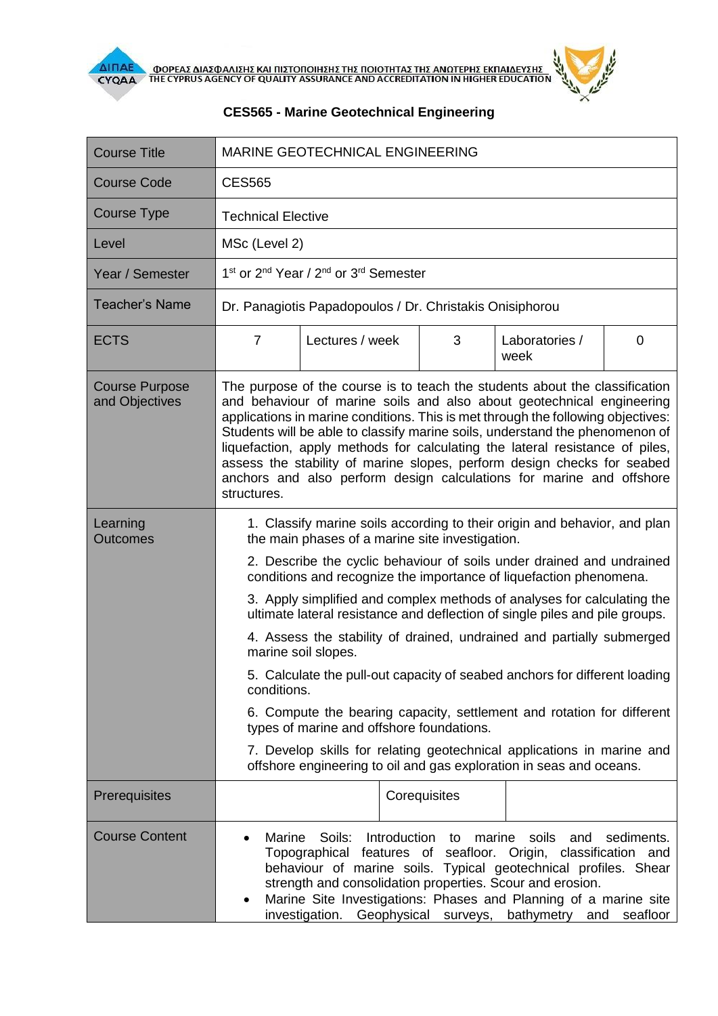



## **CES565 - Marine Geotechnical Engineering**

| <b>Course Title</b>                     | <b>MARINE GEOTECHNICAL ENGINEERING</b>                                                                                                                                                                                                                                                                                                                                                                                                                                                                                                                                                                                                                                                                                                                                                                                                                                                                     |
|-----------------------------------------|------------------------------------------------------------------------------------------------------------------------------------------------------------------------------------------------------------------------------------------------------------------------------------------------------------------------------------------------------------------------------------------------------------------------------------------------------------------------------------------------------------------------------------------------------------------------------------------------------------------------------------------------------------------------------------------------------------------------------------------------------------------------------------------------------------------------------------------------------------------------------------------------------------|
| <b>Course Code</b>                      | <b>CES565</b>                                                                                                                                                                                                                                                                                                                                                                                                                                                                                                                                                                                                                                                                                                                                                                                                                                                                                              |
| <b>Course Type</b>                      | <b>Technical Elective</b>                                                                                                                                                                                                                                                                                                                                                                                                                                                                                                                                                                                                                                                                                                                                                                                                                                                                                  |
| Level                                   | MSc (Level 2)                                                                                                                                                                                                                                                                                                                                                                                                                                                                                                                                                                                                                                                                                                                                                                                                                                                                                              |
| Year / Semester                         | 1 <sup>st</sup> or 2 <sup>nd</sup> Year / 2 <sup>nd</sup> or 3 <sup>rd</sup> Semester                                                                                                                                                                                                                                                                                                                                                                                                                                                                                                                                                                                                                                                                                                                                                                                                                      |
| <b>Teacher's Name</b>                   | Dr. Panagiotis Papadopoulos / Dr. Christakis Onisiphorou                                                                                                                                                                                                                                                                                                                                                                                                                                                                                                                                                                                                                                                                                                                                                                                                                                                   |
| <b>ECTS</b>                             | $\overline{7}$<br>Lectures / week<br>3<br>Laboratories /<br>0<br>week                                                                                                                                                                                                                                                                                                                                                                                                                                                                                                                                                                                                                                                                                                                                                                                                                                      |
| <b>Course Purpose</b><br>and Objectives | The purpose of the course is to teach the students about the classification<br>and behaviour of marine soils and also about geotechnical engineering<br>applications in marine conditions. This is met through the following objectives:<br>Students will be able to classify marine soils, understand the phenomenon of<br>liquefaction, apply methods for calculating the lateral resistance of piles,<br>assess the stability of marine slopes, perform design checks for seabed<br>anchors and also perform design calculations for marine and offshore<br>structures.                                                                                                                                                                                                                                                                                                                                 |
| Learning<br><b>Outcomes</b>             | 1. Classify marine soils according to their origin and behavior, and plan<br>the main phases of a marine site investigation.<br>2. Describe the cyclic behaviour of soils under drained and undrained<br>conditions and recognize the importance of liquefaction phenomena.<br>3. Apply simplified and complex methods of analyses for calculating the<br>ultimate lateral resistance and deflection of single piles and pile groups.<br>4. Assess the stability of drained, undrained and partially submerged<br>marine soil slopes.<br>5. Calculate the pull-out capacity of seabed anchors for different loading<br>conditions.<br>6. Compute the bearing capacity, settlement and rotation for different<br>types of marine and offshore foundations.<br>7. Develop skills for relating geotechnical applications in marine and<br>offshore engineering to oil and gas exploration in seas and oceans. |
| Prerequisites                           | Corequisites                                                                                                                                                                                                                                                                                                                                                                                                                                                                                                                                                                                                                                                                                                                                                                                                                                                                                               |
| <b>Course Content</b>                   | Soils:<br>Introduction<br>marine<br>soils<br>sediments.<br><b>Marine</b><br>and<br>to<br>Topographical features of seafloor. Origin, classification and<br>behaviour of marine soils. Typical geotechnical profiles. Shear<br>strength and consolidation properties. Scour and erosion.<br>Marine Site Investigations: Phases and Planning of a marine site<br>investigation.<br>Geophysical<br>surveys,<br>bathymetry<br>and<br>seafloor                                                                                                                                                                                                                                                                                                                                                                                                                                                                  |